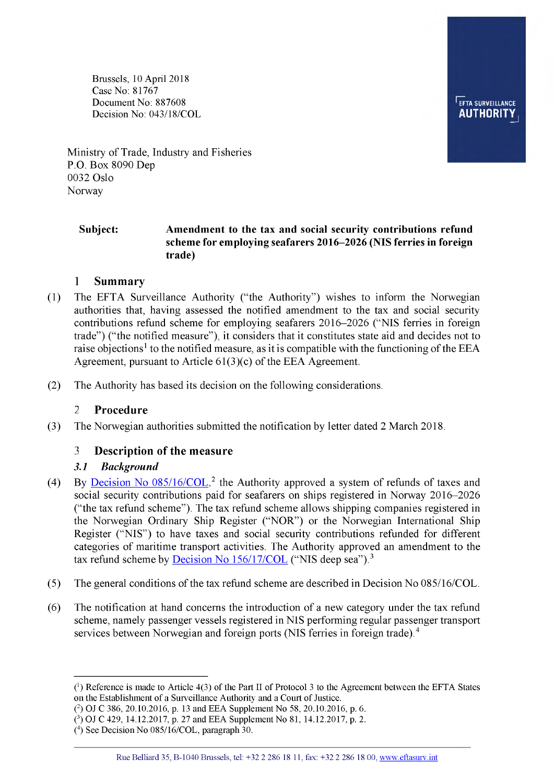Brussels, 10 April 2018 Case No: 81767 Document No: 887608 Decision No: 043/18/COL



Ministry of Trade, Industry and Fisheries P.O. Box 8090 Dep 0032 Oslo Norway

#### **Subject: Amendment to the tax and social security contributions refund scheme for employing seafarers 2016-2026 (NIS ferries in foreign trade)**

#### **1 Summary**

- (1) The EFTA Surveillance Authority ("the Authority") wishes to inform the Norwegian authorities that, having assessed the notified amendment to the tax and social security contributions refund scheme for employing seafarers 2016**-** 2026 ("NIS ferries in foreign trade") ("the notified measure"), it considers that it constitutes state aid and decides not to raise objections<sup>1</sup> to the notified measure, as it is compatible with the functioning of the EEA Agreement, pursuant to Article 61(3)(c) of the EEA Agreement.
- (2) The Authority has based its decision on the following considerations.

#### **2 Procedure**

(3) The Norwegian authorities submitted the notification by letter dated 2 March 2018.

## **2 Description of the measure**

#### *3.1 Background*

- (4) By Decision No  $085/16$ /COL,<sup>2</sup> the Authority approved a system of refunds of taxes and social security contributions paid for seafarers on ships registered in Norway 2016-2026 ("the tax refund scheme"). The tax refund scheme allows shipping companies registered in the Norwegian Ordinary Ship Register ("NOR") or the Norwegian International Ship Register ("NIS") to have taxes and social security contributions refunded for different categories of maritime transport activities. The Authority approved an amendment to the tax refund scheme by **Decision No 156/17/COL** ("NIS deep sea").<sup>[3](#page-0-1)</sup>
- (5) The general conditions of the tax refund scheme are described in Decision No 085/16/COL.
- (6) The notification at hand concerns the introduction of a new category under the tax refund scheme, namely passenger vessels registered in NIS performing regular passenger transport services between Norwegian and foreign ports (NIS ferries in foreign trade).<sup>[4](#page-0-1)</sup>

<span id="page-0-0"></span>**O Reference is made to Article 4(3) of the Part II of Protocol 3 to the Agreement between the EFTA States on the Establishment of a Surveillance Authority and a Court of Justice.**

**<sup>(2)</sup> OJ C 386, 20.10.2016, p. 13 and EEA Supplement No 58, 20.10.2016, p. 6.**

<span id="page-0-1"></span>**<sup>(3)</sup> OJ C 429, 14.12.2017, p. 27 and EEA Supplement No 81, 14.12.2017, p. 2.**

**<sup>(4)</sup> See Decision No 085/16/COL, paragraph 30.**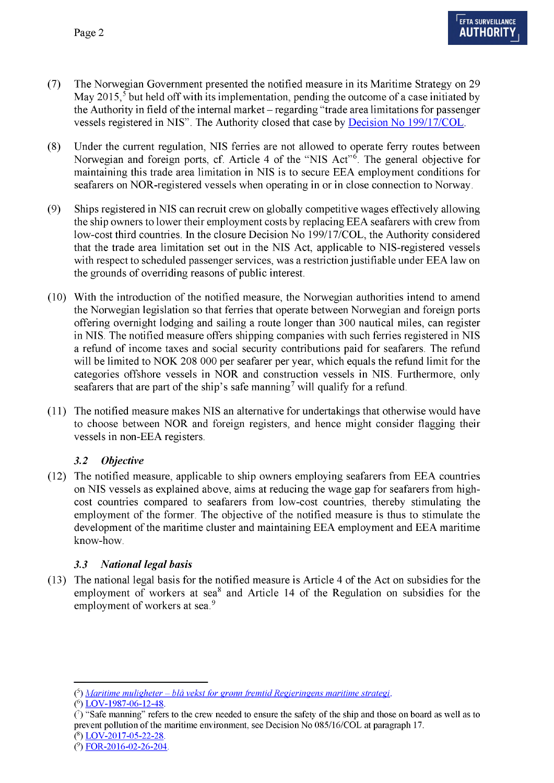- (7) The Norwegian Government presented the notified measure in its Maritime Strategy on 29 May 2015,<sup>5</sup> but held off with its implementation, pending the outcome of a case initiated by the Authority in field of the internal market – regarding "trade area limitations for passenger vessels registered in NIS". The Authority closed that case b[y Decision No 199/17/COL.](http://www.eftasurv.int/da/DocumentDirectAction/outputDocument?docId=4049)
- <span id="page-1-3"></span>(8) Under the current regulation, NIS ferries are not allowed to operate ferry routes between Norwegian and foreign ports, cf. Article 4 of the "NIS Act"[6](#page-1-0). The general objective for maintaining this trade area limitation in NIS is to secure EEA employment conditions for seafarers on NOR-registered vessels when operating in or in close connection to Norway.
- (9) Ships registered in NIS can recruit crew on globally competitive wages effectively allowing the ship owners to lower their employment costs by replacing EEA seafarers with crew from low-cost third countries. In the closure Decision No 199/17/COL, the Authority considered that the trade area limitation set out in the NIS Act, applicable to NIS-registered vessels with respect to scheduled passenger services, was a restriction justifiable under EEA law on the grounds of overriding reasons of public interest.
- (10) With the introduction of the notified measure, the Norwegian authorities intend to amend the Norwegian legislation so that ferries that operate between Norwegian and foreign ports offering overnight lodging and sailing a route longer than 300 nautical miles, can register in NIS. The notified measure offers shipping companies with such ferries registered in NIS a refund of income taxes and social security contributions paid for seafarers. The refund will be limited to NOK 208 000 per seafarer per year, which equals the refund limit for the categories offshore vessels in NOR and construction vessels in NIS. Furthermore, only seafarers that are part of the ship's safe manning<sup>7</sup> will qualify for a refund.
- (11) The notified measure makes NIS an alternative for undertakings that otherwise would have to choose between NOR and foreign registers, and hence might consider flagging their vessels in non-EEA registers.

## *3.2 Objective*

(12) The notified measure, applicable to ship owners employing seafarers from EEA countries on NIS vessels as explained above, aims at reducing the wage gap for seafarers from highcost countries compared to seafarers from low-cost countries, thereby stimulating the employment of the former. The objective of the notified measure is thus to stimulate the development of the maritime cluster and maintaining EEA employment and EEA maritime know-how.

#### *3.3 National legal basis*

(13) The national legal basis for the notified measure is Article 4 of the Act on subsidies for the employment of workers at sea $8$  and Article 14 of the Regulation on subsidies for the employment of workers at sea.<sup>[9](#page-1-2)</sup>

<span id="page-1-0"></span>**<sup>(5)</sup>** *[Maritime muligheter - blå vekst\\_ for grønn \\_ fremtid Regjeringens maritime strategi.](https://www.regjeringen.no/contentassets/05c0e04689cf4fc895398bf8814ab04c/maritim-strategi_web290515.pdf)*

<span id="page-1-1"></span>**<sup>(6</sup>[\) LOV-1987-06-12-48.](https://lovdata.no/dokument/NL/lov/1987-06-12-48)**

**<sup>(7) &</sup>quot;Safe manning" refers to the crew needed to ensure the safety of the ship and those on board as well as to prevent pollution of the maritime environment, see Decision No 085/16/COL at paragraph 17.**

<span id="page-1-2"></span>**<sup>(8</sup>[\) LOV-2017-05-22-28.](https://lovdata.no/dokument/NL/lov/2017-05-22-28)**

**<sup>(9</sup>[\) FOR-2016-02-26-204.](https://lovdata.no/dokument/SF/forskrift/2016-02-26-204)**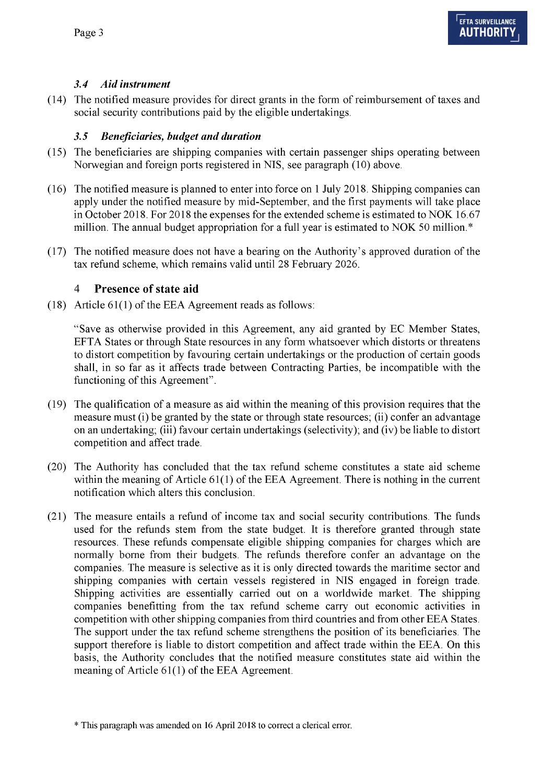## *3.4 Aid instrument*

(14) The notified measure provides for direct grants in the form of reimbursement of taxes and social security contributions paid by the eligible undertakings.

## *3.5 Beneficiaries, budget and duration*

- (15) The beneficiaries are shipping companies with certain passenger ships operating between Norwegian and foreign ports registered in NIS, see paragraph [\(10\) a](#page-1-3)bove.
- (16) The notified measure is planned to enter into force on 1 July 2018. Shipping companies can apply under the notified measure by mid-September, and the first payments will take place in October 2018. For 2018 the expenses for the extended scheme is estimated to NOK 16.67 million. The annual budget appropriation for a full year is estimated to NOK 50 million.\*
- (17) The notified measure does not have a bearing on the Authority's approved duration of the tax refund scheme, which remains valid until 28 February 2026.

## **4 Presence of state aid**

(18) Article 61(1) of the EEA Agreement reads as follows:

"Save as otherwise provided in this Agreement, any aid granted by EC Member States, EFTA States or through State resources in any form whatsoever which distorts or threatens to distort competition by favouring certain undertakings or the production of certain goods shall, in so far as it affects trade between Contracting Parties, be incompatible with the functioning of this Agreement".

- (19) The qualification of a measure as aid within the meaning of this provision requires that the measure must (i) be granted by the state or through state resources; (ii) confer an advantage on an undertaking; (iii) favour certain undertakings (selectivity); and (iv) be liable to distort competition and affect trade.
- (20) The Authority has concluded that the tax refund scheme constitutes a state aid scheme within the meaning of Article 61(1) of the EEA Agreement. There is nothing in the current notification which alters this conclusion.
- (21) The measure entails a refund of income tax and social security contributions. The funds used for the refunds stem from the state budget. It is therefore granted through state resources. These refunds compensate eligible shipping companies for charges which are normally borne from their budgets. The refunds therefore confer an advantage on the companies. The measure is selective as it is only directed towards the maritime sector and shipping companies with certain vessels registered in NIS engaged in foreign trade. Shipping activities are essentially carried out on a worldwide market. The shipping companies benefitting from the tax refund scheme carry out economic activities in competition with other shipping companies from third countries and from other EEA States. The support under the tax refund scheme strengthens the position of its beneficiaries. The support therefore is liable to distort competition and affect trade within the EEA. On this basis, the Authority concludes that the notified measure constitutes state aid within the meaning of Article 61(1) of the EEA Agreement.

**<sup>\*</sup> This paragraph was amended on 16 April 2018 to correct a clerical error.**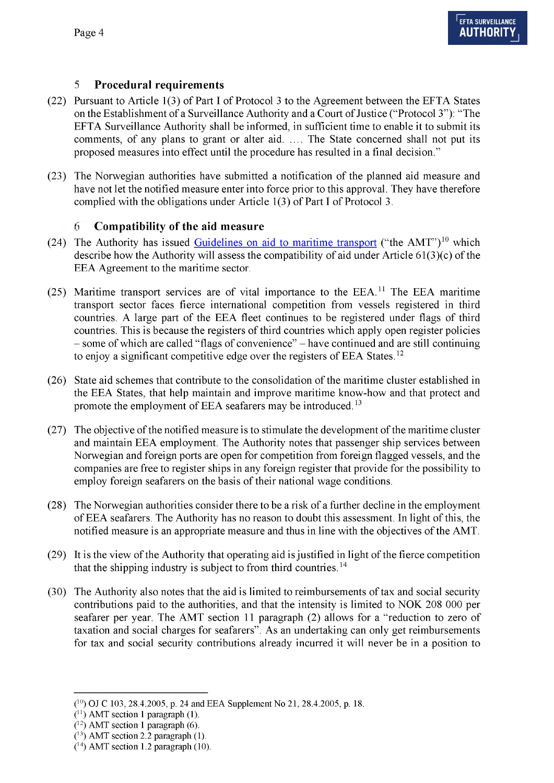## **5 Procedural requirements**

- (22) Pursuant to Article 1(3) of Part I of Protocol 3 to the Agreement between the EFTA States on the Establishment of a Surveillance Authority and a Court of Justice ("Protocol 3"): "The EFTA Surveillance Authority shall be informed, in sufficient time to enable it to submit its comments, of any plans to grant or alter aid...... The State concerned shall not put its proposed measures into effect until the procedure has resulted in a final decision."
- (23) The Norwegian authorities have submitted a notification of the planned aid measure and have not let the notified measure enter into force prior to this approval. They have therefore complied with the obligations under Article 1(3) of Part I of Protocol 3.

# **fi Compatibility of the aid measure**

- (24) The Authority has issue[d Guidelines on aid to maritime transport \(](http://www.eftasurv.int/media/uncategorized/Aid-to-maritime-transport.pdf)"the AMT")<sup>[10](#page-3-0)</sup> which describe how the Authority will assess the compatibility of aid under Article 61(3)(c) of the EEA Agreement to the maritime sector.
- (25) Maritime transport services are of vital importance to the EEA.<sup>11</sup> The EEA maritime transport sector faces fierce international competition from vessels registered in third countries. A large part of the EEA fleet continues to be registered under flags of third countries. This is because the registers of third countries which apply open register policies - some of which are called "flags of convenience" - have continued and are still continuing to enjoy a significant competitive edge over the registers of EEA States.<sup>[12](#page-3-0)</sup>
- (26) State aid schemes that contribute to the consolidation of the maritime cluster established in the EEA States, that help maintain and improve maritime know-how and that protect and promote the employment of EEA seafarers may be introduced.<sup>[13](#page-3-1)</sup>
- (27) The objective of the notified measure is to stimulate the development of the maritime cluster and maintain EEA employment. The Authority notes that passenger ship services between Norwegian and foreign ports are open for competition from foreign flagged vessels, and the companies are free to register ships in any foreign register that provide for the possibility to employ foreign seafarers on the basis of their national wage conditions.
- (28) The Norwegian authorities consider there to be a risk of a further decline in the employment of EEA seafarers. The Authority has no reason to doubt this assessment. In light of this, the notified measure is an appropriate measure and thus in line with the objectives of the AMT.
- (29) It is the view of the Authority that operating aid is justified in light of the fierce competition that the shipping industry is subject to from third countries.<sup>[14](#page-3-1)</sup>
- (30) The Authority also notes that the aid is limited to reimbursements of tax and social security contributions paid to the authorities, and that the intensity is limited to NOK 208 000 per seafarer per year. The AMT section 11 paragraph (2) allows for a "reduction to zero of taxation and social charges for seafarers". As an undertaking can only get reimbursements for tax and social security contributions already incurred it will never be in a position to

<span id="page-3-0"></span>**<sup>(10)</sup> OJ C 103, 28.4.2005, p. 24 and EEA Supplement No 21, 28.4.2005, p. 18.**

**<sup>(</sup>n ) AMT section 1 paragraph (1).**

**<sup>(12)</sup> AMT section 1 paragraph (6).**

<span id="page-3-1"></span>**<sup>(13)</sup> AMT section 2.2 paragraph (1).**

**<sup>(14)</sup> AMT section 1.2 paragraph (10).**